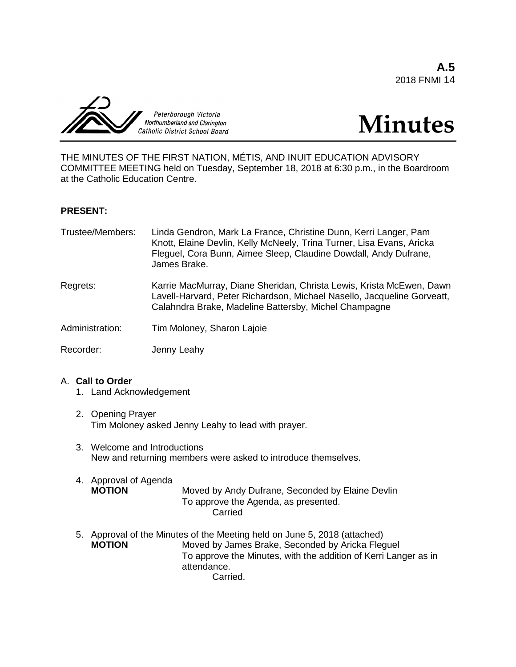**A.5** 2018 FNMI 14





THE MINUTES OF THE FIRST NATION, MÉTIS, AND INUIT EDUCATION ADVISORY COMMITTEE MEETING held on Tuesday, September 18, 2018 at 6:30 p.m., in the Boardroom at the Catholic Education Centre.

# **PRESENT:**

| Trustee/Members: | Linda Gendron, Mark La France, Christine Dunn, Kerri Langer, Pam<br>Knott, Elaine Devlin, Kelly McNeely, Trina Turner, Lisa Evans, Aricka<br>Fleguel, Cora Bunn, Aimee Sleep, Claudine Dowdall, Andy Dufrane,<br>James Brake. |
|------------------|-------------------------------------------------------------------------------------------------------------------------------------------------------------------------------------------------------------------------------|
| Regrets:         | Karrie MacMurray, Diane Sheridan, Christa Lewis, Krista McEwen, Dawn<br>Lavell-Harvard, Peter Richardson, Michael Nasello, Jacqueline Gorveatt,<br>Calahndra Brake, Madeline Battersby, Michel Champagne                      |
| Administration:  | Tim Moloney, Sharon Lajoie                                                                                                                                                                                                    |
| Recorder:        | Jenny Leahy                                                                                                                                                                                                                   |

## A. **Call to Order**

- 1. Land Acknowledgement
- 2. Opening Prayer Tim Moloney asked Jenny Leahy to lead with prayer.
- 3. Welcome and Introductions New and returning members were asked to introduce themselves.
- 4. Approval of Agenda Moved by Andy Dufrane, Seconded by Elaine Devlin To approve the Agenda, as presented. Carried
- 5. Approval of the Minutes of the Meeting held on June 5, 2018 (attached) **MOTION** Moved by James Brake, Seconded by Aricka Fleguel To approve the Minutes, with the addition of Kerri Langer as in attendance. Carried.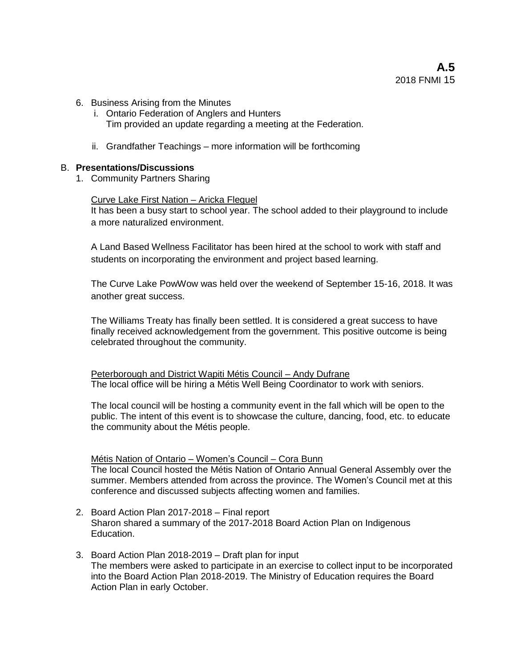- 6. Business Arising from the Minutes
	- i. Ontario Federation of Anglers and Hunters Tim provided an update regarding a meeting at the Federation.
	- ii. Grandfather Teachings more information will be forthcoming

# B. **Presentations/Discussions**

1. Community Partners Sharing

## Curve Lake First Nation – Aricka Fleguel

It has been a busy start to school year. The school added to their playground to include a more naturalized environment.

A Land Based Wellness Facilitator has been hired at the school to work with staff and students on incorporating the environment and project based learning.

The Curve Lake PowWow was held over the weekend of September 15-16, 2018. It was another great success.

The Williams Treaty has finally been settled. It is considered a great success to have finally received acknowledgement from the government. This positive outcome is being celebrated throughout the community.

Peterborough and District Wapiti Métis Council – Andy Dufrane The local office will be hiring a Métis Well Being Coordinator to work with seniors.

The local council will be hosting a community event in the fall which will be open to the public. The intent of this event is to showcase the culture, dancing, food, etc. to educate the community about the Métis people.

Métis Nation of Ontario – Women's Council – Cora Bunn

The local Council hosted the Métis Nation of Ontario Annual General Assembly over the summer. Members attended from across the province. The Women's Council met at this conference and discussed subjects affecting women and families.

- 2. Board Action Plan 2017-2018 Final report Sharon shared a summary of the 2017-2018 Board Action Plan on Indigenous Education.
- 3. Board Action Plan 2018-2019 Draft plan for input The members were asked to participate in an exercise to collect input to be incorporated into the Board Action Plan 2018-2019. The Ministry of Education requires the Board Action Plan in early October.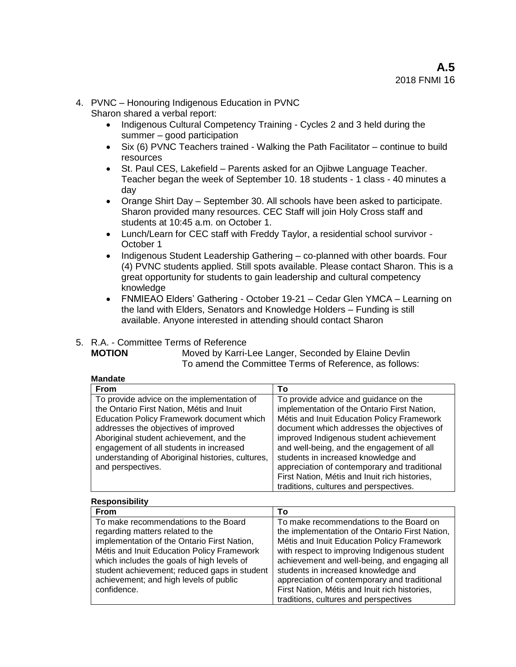- 4. PVNC Honouring Indigenous Education in PVNC
	- Sharon shared a verbal report:
		- Indigenous Cultural Competency Training Cycles 2 and 3 held during the summer – good participation
		- Six (6) PVNC Teachers trained Walking the Path Facilitator continue to build resources
		- St. Paul CES, Lakefield Parents asked for an Ojibwe Language Teacher. Teacher began the week of September 10. 18 students - 1 class - 40 minutes a day
		- Orange Shirt Day September 30. All schools have been asked to participate. Sharon provided many resources. CEC Staff will join Holy Cross staff and students at 10:45 a.m. on October 1.
		- Lunch/Learn for CEC staff with Freddy Taylor, a residential school survivor October 1
		- Indigenous Student Leadership Gathering co-planned with other boards. Four (4) PVNC students applied. Still spots available. Please contact Sharon. This is a great opportunity for students to gain leadership and cultural competency knowledge
		- FNMIEAO Elders' Gathering October 19-21 Cedar Glen YMCA Learning on the land with Elders, Senators and Knowledge Holders – Funding is still available. Anyone interested in attending should contact Sharon

# 5. R.A. - Committee Terms of Reference

**MOTION** Moved by Karri-Lee Langer, Seconded by Elaine Devlin To amend the Committee Terms of Reference, as follows:

| <b>Mandate</b> |  |
|----------------|--|
|                |  |

| <b>From</b>                                      | То                                            |
|--------------------------------------------------|-----------------------------------------------|
| To provide advice on the implementation of       | To provide advice and guidance on the         |
| the Ontario First Nation, Métis and Inuit        | implementation of the Ontario First Nation,   |
| <b>Education Policy Framework document which</b> | Métis and Inuit Education Policy Framework    |
| addresses the objectives of improved             | document which addresses the objectives of    |
| Aboriginal student achievement, and the          | improved Indigenous student achievement       |
| engagement of all students in increased          | and well-being, and the engagement of all     |
| understanding of Aboriginal histories, cultures, | students in increased knowledge and           |
| and perspectives.                                | appreciation of contemporary and traditional  |
|                                                  | First Nation, Métis and Inuit rich histories, |
|                                                  | traditions, cultures and perspectives.        |

#### **Responsibility From To** To make recommendations to the Board regarding matters related to the implementation of the Ontario First Nation, Métis and Inuit Education Policy Framework which includes the goals of high levels of student achievement; reduced gaps in student achievement; and high levels of public confidence. To make recommendations to the Board on the implementation of the Ontario First Nation, Métis and Inuit Education Policy Framework with respect to improving Indigenous student achievement and well-being, and engaging all students in increased knowledge and appreciation of contemporary and traditional First Nation, Métis and Inuit rich histories, traditions, cultures and perspectives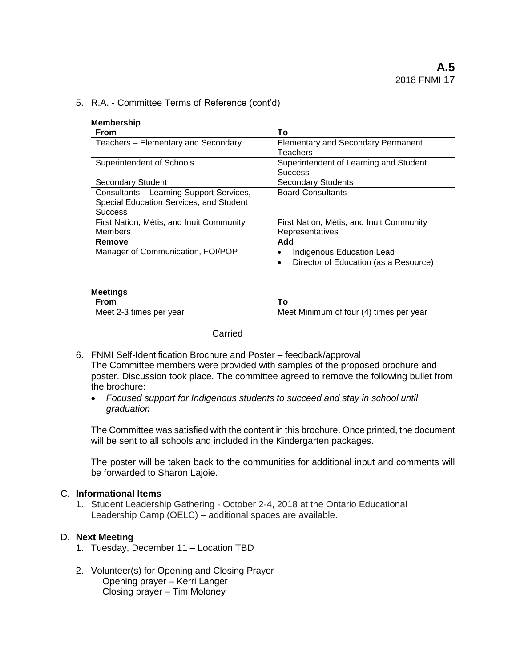5. R.A. - Committee Terms of Reference (cont'd)

| <b>Membership</b>                        |                                                    |
|------------------------------------------|----------------------------------------------------|
| <b>From</b>                              | Τo                                                 |
| Teachers - Elementary and Secondary      | <b>Elementary and Secondary Permanent</b>          |
|                                          | Teachers                                           |
| <b>Superintendent of Schools</b>         | Superintendent of Learning and Student             |
|                                          | <b>Success</b>                                     |
| Secondary Student                        | <b>Secondary Students</b>                          |
| Consultants - Learning Support Services, | <b>Board Consultants</b>                           |
| Special Education Services, and Student  |                                                    |
| <b>Success</b>                           |                                                    |
| First Nation, Métis, and Inuit Community | First Nation, Métis, and Inuit Community           |
| <b>Members</b>                           | Representatives                                    |
| Remove                                   | Add                                                |
| Manager of Communication, FOI/POP        | Indigenous Education Lead                          |
|                                          | Director of Education (as a Resource)<br>$\bullet$ |
|                                          |                                                    |

# **Meetings**

| <b>From</b>             |                                            |
|-------------------------|--------------------------------------------|
| Meet 2-3 times per year | Minimum of four (4) times per year<br>Meet |

## **Carried**

- 6. FNMI Self-Identification Brochure and Poster feedback/approval The Committee members were provided with samples of the proposed brochure and poster. Discussion took place. The committee agreed to remove the following bullet from the brochure:
	- *Focused support for Indigenous students to succeed and stay in school until graduation*

The Committee was satisfied with the content in this brochure. Once printed, the document will be sent to all schools and included in the Kindergarten packages.

The poster will be taken back to the communities for additional input and comments will be forwarded to Sharon Lajoie.

## C. **Informational Items**

1. Student Leadership Gathering - October 2-4, 2018 at the Ontario Educational Leadership Camp (OELC) – additional spaces are available.

## D. **Next Meeting**

- 1. Tuesday, December 11 Location TBD
- 2. Volunteer(s) for Opening and Closing Prayer Opening prayer – Kerri Langer Closing prayer – Tim Moloney